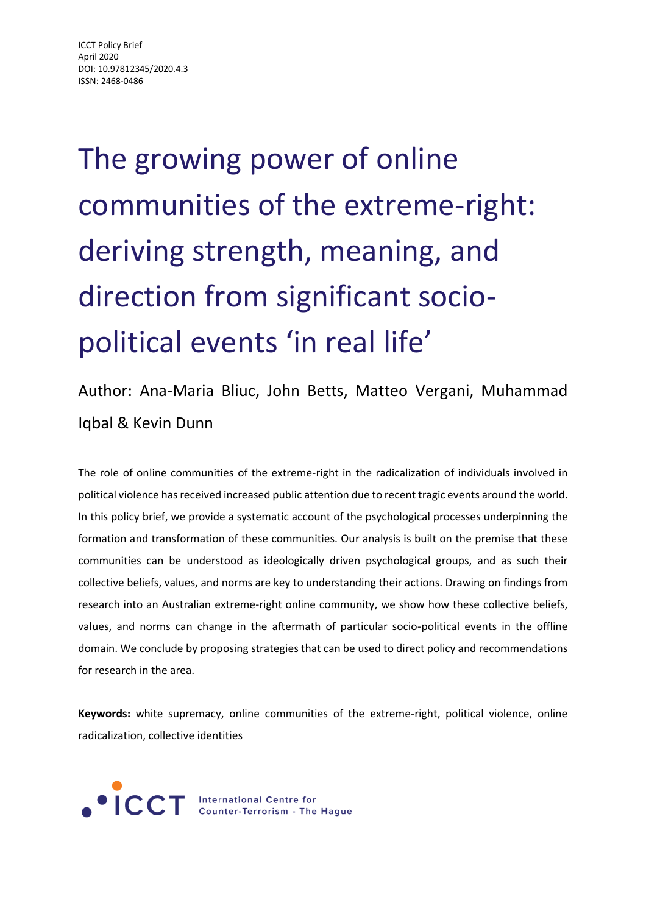The growing power of online communities of the extreme-right: deriving strength, meaning, and direction from significant sociopolitical events 'in real life'

### Author: Ana-Maria Bliuc, John Betts, Matteo Vergani, Muhammad Iqbal & Kevin Dunn

The role of online communities of the extreme-right in the radicalization of individuals involved in political violence has received increased public attention due to recent tragic events around the world. In this policy brief, we provide a systematic account of the psychological processes underpinning the formation and transformation of these communities. Our analysis is built on the premise that these communities can be understood as ideologically driven psychological groups, and as such their collective beliefs, values, and norms are key to understanding their actions. Drawing on findings from research into an Australian extreme-right online community, we show how these collective beliefs, values, and norms can change in the aftermath of particular socio-political events in the offline domain. We conclude by proposing strategies that can be used to direct policy and recommendations for research in the area.

**Keywords:** white supremacy, online communities of the extreme-right, political violence, online radicalization, collective identities



**CCT** International Centre for<br>COT Counter-Terrorism - The Hague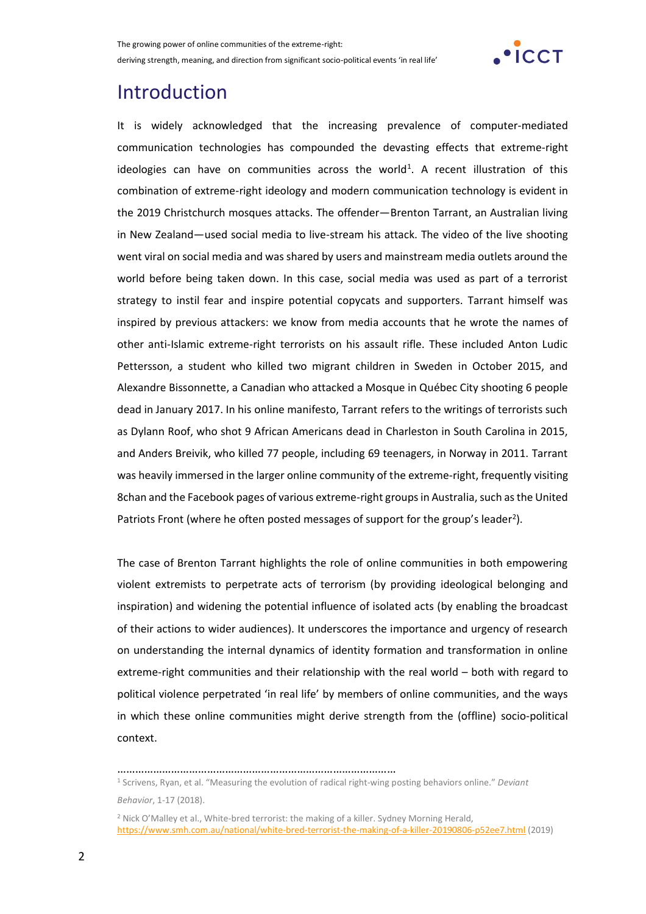

### Introduction

It is widely acknowledged that the increasing prevalence of computer-mediated communication technologies has compounded the devasting effects that extreme-right ideologies can have on communities across the world<sup>1</sup>. A recent illustration of this combination of extreme-right ideology and modern communication technology is evident in the 2019 Christchurch mosques attacks. The offender—Brenton Tarrant, an Australian living in New Zealand—used social media to live-stream his attack. The video of the live shooting went viral on social media and was shared by users and mainstream media outlets around the world before being taken down. In this case, social media was used as part of a terrorist strategy to instil fear and inspire potential copycats and supporters. Tarrant himself was inspired by previous attackers: we know from media accounts that he wrote the names of other anti-Islamic extreme-right terrorists on his assault rifle. These included Anton Ludic Pettersson, a student who killed two migrant children in Sweden in October 2015, and Alexandre Bissonnette, a Canadian who attacked a Mosque in Québec City shooting 6 people dead in January 2017. In his online manifesto, Tarrant refers to the writings of terrorists such as Dylann Roof, who shot 9 African Americans dead in Charleston in South Carolina in 2015, and Anders Breivik, who killed 77 people, including 69 teenagers, in Norway in 2011. Tarrant was heavily immersed in the larger online community of the extreme-right, frequently visiting 8chan and the Facebook pages of various extreme-right groups in Australia, such as the United Patriots Front (where he often posted messages of support for the group's leader<sup>2</sup>).

The case of Brenton Tarrant highlights the role of online communities in both empowering violent extremists to perpetrate acts of terrorism (by providing ideological belonging and inspiration) and widening the potential influence of isolated acts (by enabling the broadcast of their actions to wider audiences). It underscores the importance and urgency of research on understanding the internal dynamics of identity formation and transformation in online extreme-right communities and their relationship with the real world – both with regard to political violence perpetrated 'in real life' by members of online communities, and the ways in which these online communities might derive strength from the (offline) socio-political context.

…………………………………………………………………………………

<sup>1</sup> Scrivens, Ryan, et al. "Measuring the evolution of radical right-wing posting behaviors online." *Deviant Behavior*, 1-17 (2018).

<sup>2</sup> Nick O'Malley et al., White-bred terrorist: the making of a killer. Sydney Morning Herald, <https://www.smh.com.au/national/white-bred-terrorist-the-making-of-a-killer-20190806-p52ee7.html> (2019)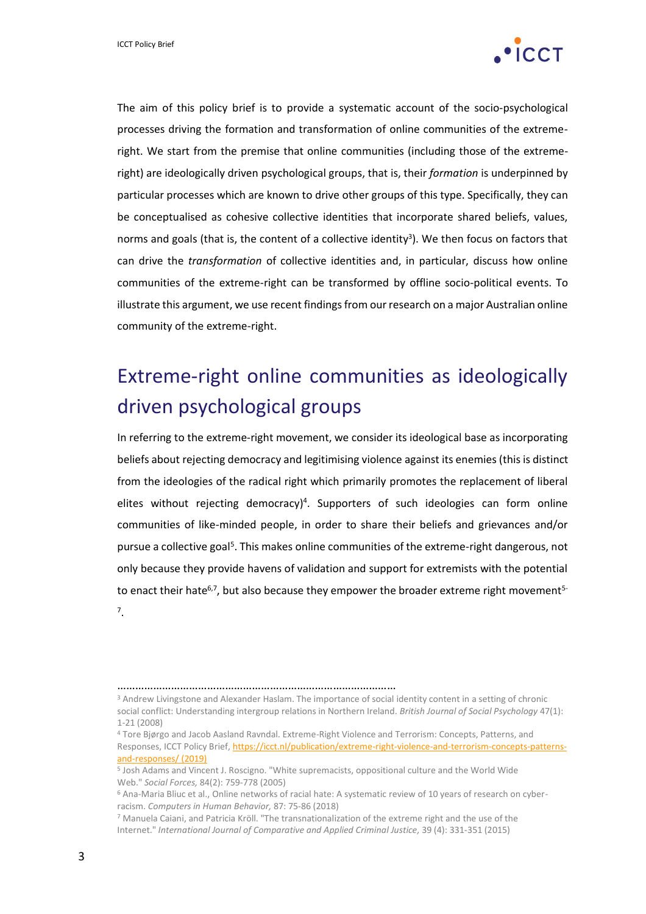

The aim of this policy brief is to provide a systematic account of the socio-psychological processes driving the formation and transformation of online communities of the extremeright. We start from the premise that online communities (including those of the extremeright) are ideologically driven psychological groups, that is, their *formation* is underpinned by particular processes which are known to drive other groups of this type. Specifically, they can be conceptualised as cohesive collective identities that incorporate shared beliefs, values, norms and goals (that is, the content of a collective identity<sup>3</sup>). We then focus on factors that can drive the *transformation* of collective identities and, in particular, discuss how online communities of the extreme-right can be transformed by offline socio-political events. To illustrate this argument, we use recent findings from our research on a major Australian online community of the extreme-right.

# Extreme-right online communities as ideologically driven psychological groups

In referring to the extreme-right movement, we consider its ideological base as incorporating beliefs about rejecting democracy and legitimising violence against its enemies (this is distinct from the ideologies of the radical right which primarily promotes the replacement of liberal elites without rejecting democracy)<sup>4</sup>. Supporters of such ideologies can form online communities of like-minded people, in order to share their beliefs and grievances and/or pursue a collective goal<sup>5</sup>. This makes online communities of the extreme-right dangerous, not only because they provide havens of validation and support for extremists with the potential to enact their hate<sup>6,7</sup>, but also because they empower the broader extreme right movement<sup>5-</sup> 7 .

<sup>………………………………………………………………………………………</sup> 

<sup>3</sup> Andrew Livingstone and Alexander Haslam. The importance of social identity content in a setting of chronic social conflict: Understanding intergroup relations in Northern Ireland. *British Journal of Social Psychology* 47(1): 1-21 (2008)

<sup>4</sup> Tore Bjørgo and Jacob Aasland Ravndal. Extreme-Right Violence and Terrorism: Concepts, Patterns, and Responses, ICCT Policy Brief[, https://icct.nl/publication/extreme-right-violence-and-terrorism-concepts-patterns](https://icct.nl/publication/extreme-right-violence-and-terrorism-concepts-patterns-and-responses/)[and-responses/](https://icct.nl/publication/extreme-right-violence-and-terrorism-concepts-patterns-and-responses/) (2019)

<sup>5</sup> Josh Adams and Vincent J. Roscigno. "White supremacists, oppositional culture and the World Wide Web." *Social Forces,* 84(2): 759-778 (2005)

<sup>6</sup> Ana-Maria Bliuc et al., Online networks of racial hate: A systematic review of 10 years of research on cyberracism. *Computers in Human Behavior,* 87: 75-86 (2018)

<sup>7</sup> Manuela Caiani, and Patricia Kröll. "The transnationalization of the extreme right and the use of the Internet." *International Journal of Comparative and Applied Criminal Justice,* 39 (4): 331-351 (2015)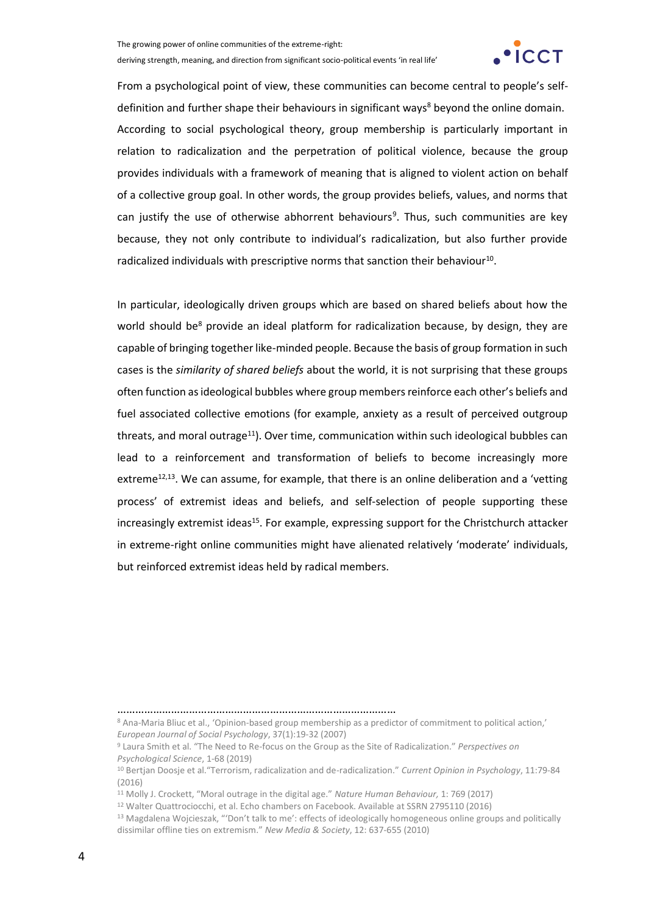

From a psychological point of view, these communities can become central to people's selfdefinition and further shape their behaviours in significant ways<sup>8</sup> beyond the online domain. According to social psychological theory, group membership is particularly important in relation to radicalization and the perpetration of political violence, because the group provides individuals with a framework of meaning that is aligned to violent action on behalf of a collective group goal. In other words, the group provides beliefs, values, and norms that can justify the use of otherwise abhorrent behaviours<sup>9</sup>. Thus, such communities are key because, they not only contribute to individual's radicalization, but also further provide radicalized individuals with prescriptive norms that sanction their behaviour<sup>10</sup>.

In particular, ideologically driven groups which are based on shared beliefs about how the world should be<sup>8</sup> provide an ideal platform for radicalization because, by design, they are capable of bringing together like-minded people. Because the basis of group formation in such cases is the *similarity of shared beliefs* about the world, it is not surprising that these groups often function as ideological bubbles where group members reinforce each other's beliefs and fuel associated collective emotions (for example, anxiety as a result of perceived outgroup threats, and moral outrage<sup>11</sup>). Over time, communication within such ideological bubbles can lead to a reinforcement and transformation of beliefs to become increasingly more extreme<sup>12,13</sup>. We can assume, for example, that there is an online deliberation and a 'vetting process' of extremist ideas and beliefs, and self-selection of people supporting these increasingly extremist ideas<sup>15</sup>. For example, expressing support for the Christchurch attacker in extreme-right online communities might have alienated relatively 'moderate' individuals, but reinforced extremist ideas held by radical members.

<sup>…………………………………………………………………………………</sup>

<sup>8</sup> Ana-Maria Bliuc et al., 'Opinion-based group membership as a predictor of commitment to political action,' *European Journal of Social Psychology*, 37(1):19-32 (2007)

<sup>9</sup> Laura Smith et al. "The Need to Re-focus on the Group as the Site of Radicalization." *Perspectives on Psychological Science*, 1-68 (2019)

<sup>10</sup> Bertjan Doosje et al."Terrorism, radicalization and de-radicalization." *Current Opinion in Psychology*, 11:79-84 (2016)

<sup>11</sup> Molly J. Crockett, "Moral outrage in the digital age." *Nature Human Behaviour,* 1: 769 (2017)

<sup>12</sup> Walter Quattrociocchi, et al. Echo chambers on Facebook. Available at SSRN 2795110 (2016)

<sup>&</sup>lt;sup>13</sup> Magdalena Wojcieszak, "'Don't talk to me': effects of ideologically homogeneous online groups and politically dissimilar offline ties on extremism." *New Media & Society*, 12: 637-655 (2010)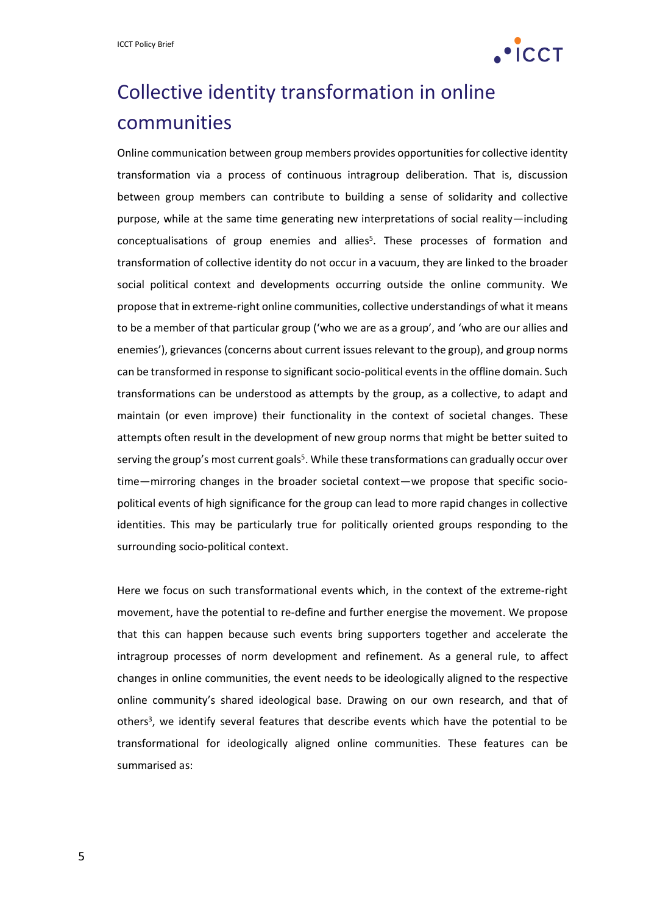

# Collective identity transformation in online communities

Online communication between group members provides opportunities for collective identity transformation via a process of continuous intragroup deliberation. That is, discussion between group members can contribute to building a sense of solidarity and collective purpose, while at the same time generating new interpretations of social reality—including conceptualisations of group enemies and allies 5 . These processes of formation and transformation of collective identity do not occur in a vacuum, they are linked to the broader social political context and developments occurring outside the online community. We propose that in extreme-right online communities, collective understandings of what it means to be a member of that particular group ('who we are as a group', and 'who are our allies and enemies'), grievances (concerns about current issues relevant to the group), and group norms can be transformed in response to significant socio-political events in the offline domain. Such transformations can be understood as attempts by the group, as a collective, to adapt and maintain (or even improve) their functionality in the context of societal changes. These attempts often result in the development of new group norms that might be better suited to serving the group's most current goals<sup>5</sup>. While these transformations can gradually occur over time—mirroring changes in the broader societal context—we propose that specific sociopolitical events of high significance for the group can lead to more rapid changes in collective identities. This may be particularly true for politically oriented groups responding to the surrounding socio-political context.

Here we focus on such transformational events which, in the context of the extreme-right movement, have the potential to re-define and further energise the movement. We propose that this can happen because such events bring supporters together and accelerate the intragroup processes of norm development and refinement. As a general rule, to affect changes in online communities, the event needs to be ideologically aligned to the respective online community's shared ideological base. Drawing on our own research, and that of others<sup>3</sup>, we identify several features that describe events which have the potential to be transformational for ideologically aligned online communities. These features can be summarised as: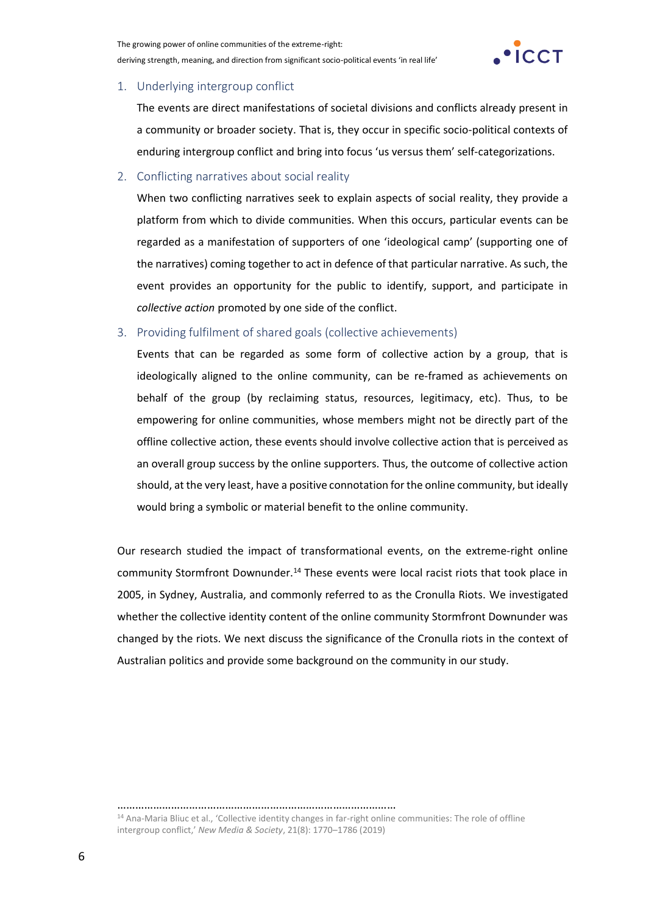

#### 1. Underlying intergroup conflict

The events are direct manifestations of societal divisions and conflicts already present in a community or broader society. That is, they occur in specific socio-political contexts of enduring intergroup conflict and bring into focus 'us versus them' self-categorizations.

#### 2. Conflicting narratives about social reality

When two conflicting narratives seek to explain aspects of social reality, they provide a platform from which to divide communities. When this occurs, particular events can be regarded as a manifestation of supporters of one 'ideological camp' (supporting one of the narratives) coming together to act in defence of that particular narrative. As such, the event provides an opportunity for the public to identify, support, and participate in *collective action* promoted by one side of the conflict.

#### 3. Providing fulfilment of shared goals (collective achievements)

Events that can be regarded as some form of collective action by a group, that is ideologically aligned to the online community, can be re-framed as achievements on behalf of the group (by reclaiming status, resources, legitimacy, etc). Thus, to be empowering for online communities, whose members might not be directly part of the offline collective action, these events should involve collective action that is perceived as an overall group success by the online supporters. Thus, the outcome of collective action should, at the very least, have a positive connotation for the online community, but ideally would bring a symbolic or material benefit to the online community.

Our research studied the impact of transformational events, on the extreme-right online community Stormfront Downunder.<sup>14</sup> These events were local racist riots that took place in 2005, in Sydney, Australia, and commonly referred to as the Cronulla Riots. We investigated whether the collective identity content of the online community Stormfront Downunder was changed by the riots. We next discuss the significance of the Cronulla riots in the context of Australian politics and provide some background on the community in our study.

…………………………………………………………………………………

<sup>14</sup> Ana-Maria Bliuc et al., 'Collective identity changes in far-right online communities: The role of offline intergroup conflict,' *New Media & Society*, 21(8): 1770–1786 (2019)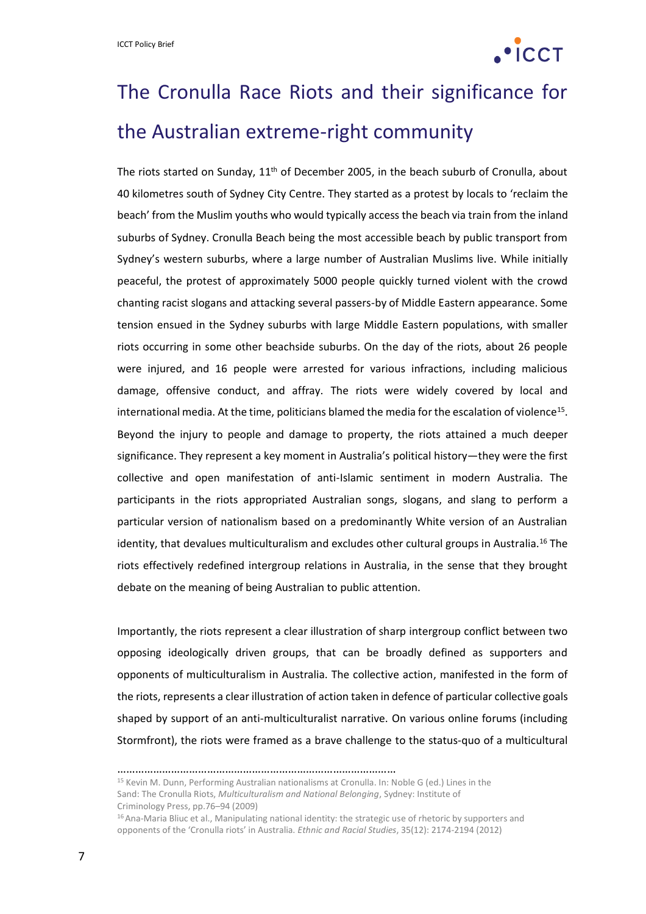

# The Cronulla Race Riots and their significance for the Australian extreme-right community

The riots started on Sunday, 11<sup>th</sup> of December 2005, in the beach suburb of Cronulla, about 40 kilometres south of Sydney City Centre. They started as a protest by locals to 'reclaim the beach' from the Muslim youths who would typically access the beach via train from the inland suburbs of Sydney. Cronulla Beach being the most accessible beach by public transport from Sydney's western suburbs, where a large number of Australian Muslims live. While initially peaceful, the protest of approximately 5000 people quickly turned violent with the crowd chanting racist slogans and attacking several passers-by of Middle Eastern appearance. Some tension ensued in the Sydney suburbs with large Middle Eastern populations, with smaller riots occurring in some other beachside suburbs. On the day of the riots, about 26 people were injured, and 16 people were arrested for various infractions, including malicious damage, offensive conduct, and affray. The riots were widely covered by local and international media. At the time, politicians blamed the media for the escalation of violence<sup>15</sup>. Beyond the injury to people and damage to property, the riots attained a much deeper significance. They represent a key moment in Australia's political history—they were the first collective and open manifestation of anti-Islamic sentiment in modern Australia. The participants in the riots appropriated Australian songs, slogans, and slang to perform a particular version of nationalism based on a predominantly White version of an Australian identity, that devalues multiculturalism and excludes other cultural groups in Australia.<sup>16</sup> The riots effectively redefined intergroup relations in Australia, in the sense that they brought debate on the meaning of being Australian to public attention.

Importantly, the riots represent a clear illustration of sharp intergroup conflict between two opposing ideologically driven groups, that can be broadly defined as supporters and opponents of multiculturalism in Australia. The collective action, manifested in the form of the riots, represents a clear illustration of action taken in defence of particular collective goals shaped by support of an anti-multiculturalist narrative. On various online forums (including Stormfront), the riots were framed as a brave challenge to the status-quo of a multicultural

<sup>……………………………………………………………………………</sup> 

<sup>15</sup> Kevin M. Dunn, Performing Australian nationalisms at Cronulla. In: Noble G (ed.) Lines in the Sand: The Cronulla Riots, *Multiculturalism and National Belonging*, Sydney: Institute of Criminology Press, pp.76–94 (2009)

<sup>&</sup>lt;sup>16</sup> Ana-Maria Bliuc et al., Manipulating national identity: the strategic use of rhetoric by supporters and opponents of the 'Cronulla riots' in Australia. *Ethnic and Racial Studies*, 35(12): 2174-2194 (2012)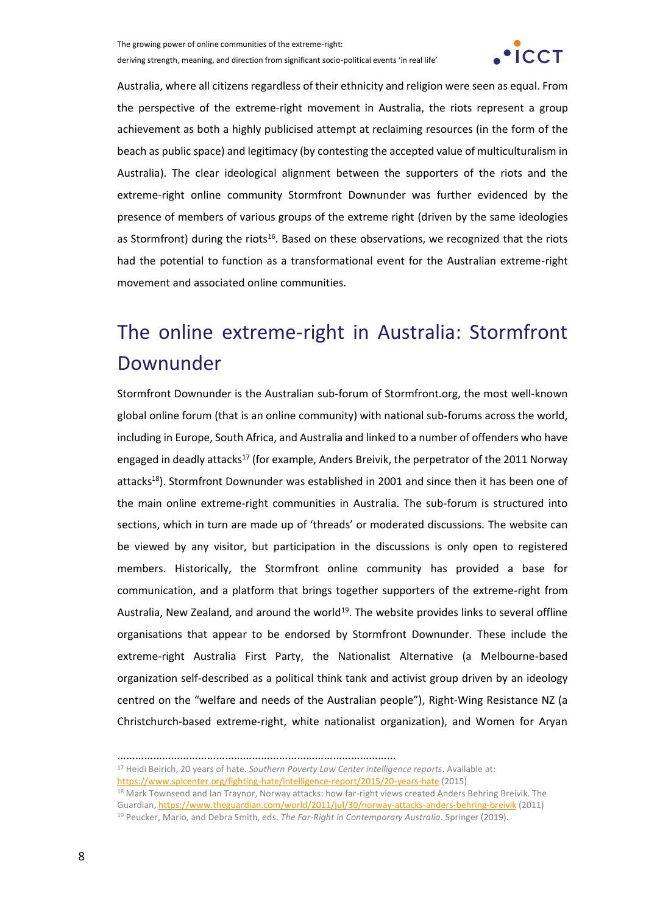

Australia, where all citizens regardless of their ethnicity and religion were seen as equal. From the perspective of the extreme-right movement in Australia, the riots represent a group achievement as both a highly publicised attempt at reclaiming resources (in the form of the beach as public space) and legitimacy (by contesting the accepted value of multiculturalism in Australia). The clear ideological alignment between the supporters of the riots and the extreme-right online community Stormfront Downunder was further evidenced by the presence of members of various groups of the extreme right (driven by the same ideologies as Stormfront) during the riots<sup>16</sup>. Based on these observations, we recognized that the riots had the potential to function as a transformational event for the Australian extreme-right movement and associated online communities.

# The online extreme-right in Australia: Stormfront Downunder

Stormfront Downunder is the Australian sub-forum of Stormfront.org, the most well-known global online forum (that is an online community) with national sub-forums across the world, including in Europe, South Africa, and Australia and linked to a number of offenders who have engaged in deadly attacks<sup>17</sup> (for example, Anders Breivik, the perpetrator of the 2011 Norway attacks<sup>18</sup>). Stormfront Downunder was established in 2001 and since then it has been one of the main online extreme-right communities in Australia. The sub-forum is structured into sections, which in turn are made up of 'threads' or moderated discussions. The website can be viewed by any visitor, but participation in the discussions is only open to registered members. Historically, the Stormfront online community has provided a base for communication, and a platform that brings together supporters of the extreme-right from Australia, New Zealand, and around the world<sup>19</sup>. The website provides links to several offline organisations that appear to be endorsed by Stormfront Downunder. These include the extreme-right Australia First Party, the Nationalist Alternative (a Melbourne-based organization self-described as a political think tank and activist group driven by an ideology centred on the "welfare and needs of the Australian people"), Right-Wing Resistance NZ (a Christchurch-based extreme-right, white nationalist organization), and Women for Aryan

<sup>…………………………………………………………………………………</sup>

<sup>17</sup> Heidi Beirich, 20 years of hate. *Southern Poverty Law Center intelligence reports*. Available at:

<https://www.splcenter.org/fighting-hate/intelligence-report/2015/20-years-hate> (2015)

<sup>18</sup> Mark Townsend and Ian Traynor, Norway attacks: how far-right views created Anders Behring Breivik. The Guardian[, https://www.theguardian.com/world/2011/jul/30/norway-attacks-anders-behring-breivik](https://www.theguardian.com/world/2011/jul/30/norway-attacks-anders-behring-breivik) (2011) <sup>19</sup> Peucker, Mario, and Debra Smith, eds. *The Far-Right in Contemporary Australia*. Springer (2019).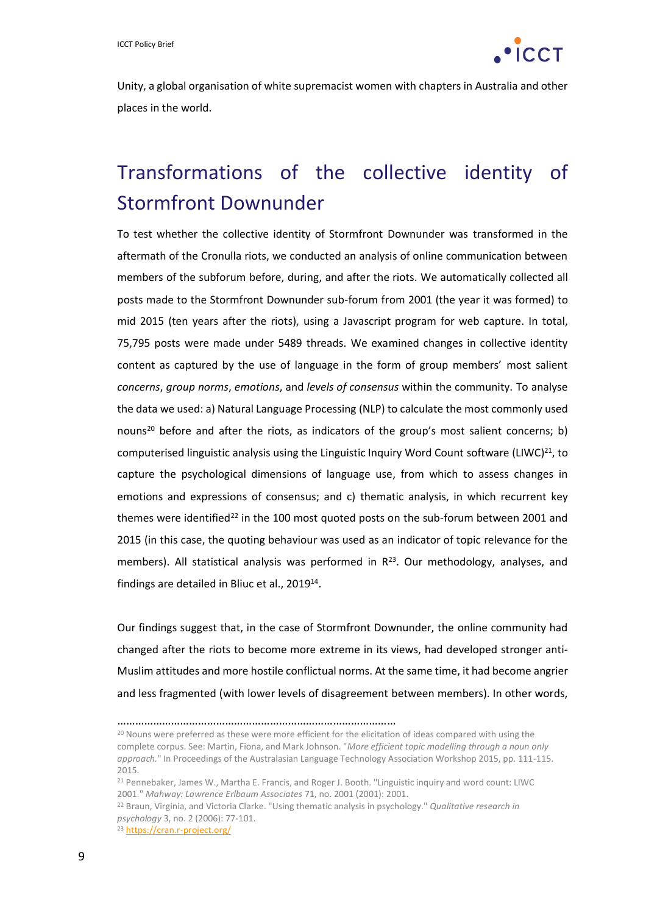

Unity, a global organisation of white supremacist women with chapters in Australia and other places in the world.

# Transformations of the collective identity of Stormfront Downunder

To test whether the collective identity of Stormfront Downunder was transformed in the aftermath of the Cronulla riots, we conducted an analysis of online communication between members of the subforum before, during, and after the riots. We automatically collected all posts made to the Stormfront Downunder sub-forum from 2001 (the year it was formed) to mid 2015 (ten years after the riots), using a Javascript program for web capture. In total, 75,795 posts were made under 5489 threads. We examined changes in collective identity content as captured by the use of language in the form of group members' most salient *concerns*, *group norms*, *emotions*, and *levels of consensus* within the community. To analyse the data we used: a) Natural Language Processing (NLP) to calculate the most commonly used nouns<sup>20</sup> before and after the riots, as indicators of the group's most salient concerns; b) computerised linguistic analysis using the Linguistic Inquiry Word Count software (LIWC)<sup>21</sup>, to capture the psychological dimensions of language use, from which to assess changes in emotions and expressions of consensus; and c) thematic analysis, in which recurrent key themes were identified<sup>22</sup> in the 100 most quoted posts on the sub-forum between 2001 and 2015 (in this case, the quoting behaviour was used as an indicator of topic relevance for the members). All statistical analysis was performed in  $R^{23}$ . Our methodology, analyses, and findings are detailed in Bliuc et al., 2019<sup>14</sup>.

Our findings suggest that, in the case of Stormfront Downunder, the online community had changed after the riots to become more extreme in its views, had developed stronger anti-Muslim attitudes and more hostile conflictual norms. At the same time, it had become angrier and less fragmented (with lower levels of disagreement between members). In other words,

…………………………………………………………………………………

<sup>&</sup>lt;sup>20</sup> Nouns were preferred as these were more efficient for the elicitation of ideas compared with using the complete corpus. See: Martin, Fiona, and Mark Johnson. "*More efficient topic modelling through a noun only approach.*" In Proceedings of the Australasian Language Technology Association Workshop 2015, pp. 111-115. 2015.

<sup>21</sup> Pennebaker, James W., Martha E. Francis, and Roger J. Booth. "Linguistic inquiry and word count: LIWC 2001." *Mahway: Lawrence Erlbaum Associates* 71, no. 2001 (2001): 2001.

<sup>22</sup> Braun, Virginia, and Victoria Clarke. "Using thematic analysis in psychology." *Qualitative research in psychology* 3, no. 2 (2006): 77-101.

<sup>23</sup> https://cran.r-project.org/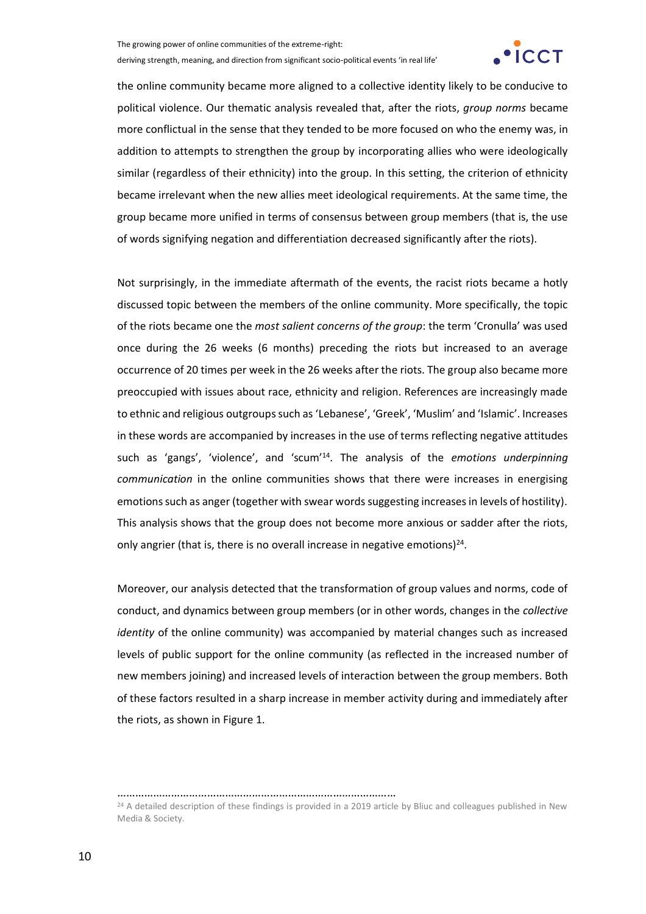

the online community became more aligned to a collective identity likely to be conducive to political violence. Our thematic analysis revealed that, after the riots, *group norms* became more conflictual in the sense that they tended to be more focused on who the enemy was, in addition to attempts to strengthen the group by incorporating allies who were ideologically similar (regardless of their ethnicity) into the group. In this setting, the criterion of ethnicity became irrelevant when the new allies meet ideological requirements. At the same time, the group became more unified in terms of consensus between group members (that is, the use of words signifying negation and differentiation decreased significantly after the riots).

Not surprisingly, in the immediate aftermath of the events, the racist riots became a hotly discussed topic between the members of the online community. More specifically, the topic of the riots became one the *most salient concerns of the group*: the term 'Cronulla' was used once during the 26 weeks (6 months) preceding the riots but increased to an average occurrence of 20 times per week in the 26 weeks after the riots. The group also became more preoccupied with issues about race, ethnicity and religion. References are increasingly made to ethnic and religious outgroups such as 'Lebanese', 'Greek', 'Muslim' and 'Islamic'. Increases in these words are accompanied by increases in the use of terms reflecting negative attitudes such as 'gangs', 'violence', and 'scum'<sup>14</sup> . The analysis of the *emotions underpinning communication* in the online communities shows that there were increases in energising emotions such as anger (together with swear words suggesting increases in levels of hostility). This analysis shows that the group does not become more anxious or sadder after the riots, only angrier (that is, there is no overall increase in negative emotions)<sup>24</sup>.

Moreover, our analysis detected that the transformation of group values and norms, code of conduct, and dynamics between group members (or in other words, changes in the *collective identity* of the online community) was accompanied by material changes such as increased levels of public support for the online community (as reflected in the increased number of new members joining) and increased levels of interaction between the group members. Both of these factors resulted in a sharp increase in member activity during and immediately after the riots, as shown in Figure 1.

…………………………………………………………………………………

<sup>&</sup>lt;sup>24</sup> A detailed description of these findings is provided in a 2019 article by Bliuc and colleagues published in New Media & Society.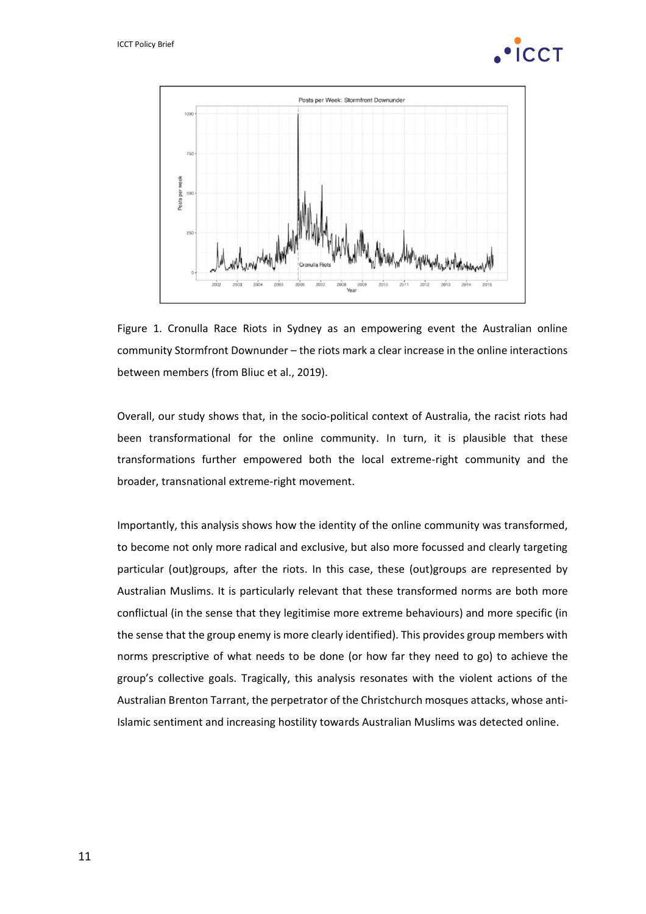



Figure 1. Cronulla Race Riots in Sydney as an empowering event the Australian online community Stormfront Downunder – the riots mark a clear increase in the online interactions between members (from Bliuc et al., 2019).

Overall, our study shows that, in the socio-political context of Australia, the racist riots had been transformational for the online community. In turn, it is plausible that these transformations further empowered both the local extreme-right community and the broader, transnational extreme-right movement.

Importantly, this analysis shows how the identity of the online community was transformed, to become not only more radical and exclusive, but also more focussed and clearly targeting particular (out)groups, after the riots. In this case, these (out)groups are represented by Australian Muslims. It is particularly relevant that these transformed norms are both more conflictual (in the sense that they legitimise more extreme behaviours) and more specific (in the sense that the group enemy is more clearly identified). This provides group members with norms prescriptive of what needs to be done (or how far they need to go) to achieve the group's collective goals. Tragically, this analysis resonates with the violent actions of the Australian Brenton Tarrant, the perpetrator of the Christchurch mosques attacks, whose anti-Islamic sentiment and increasing hostility towards Australian Muslims was detected online.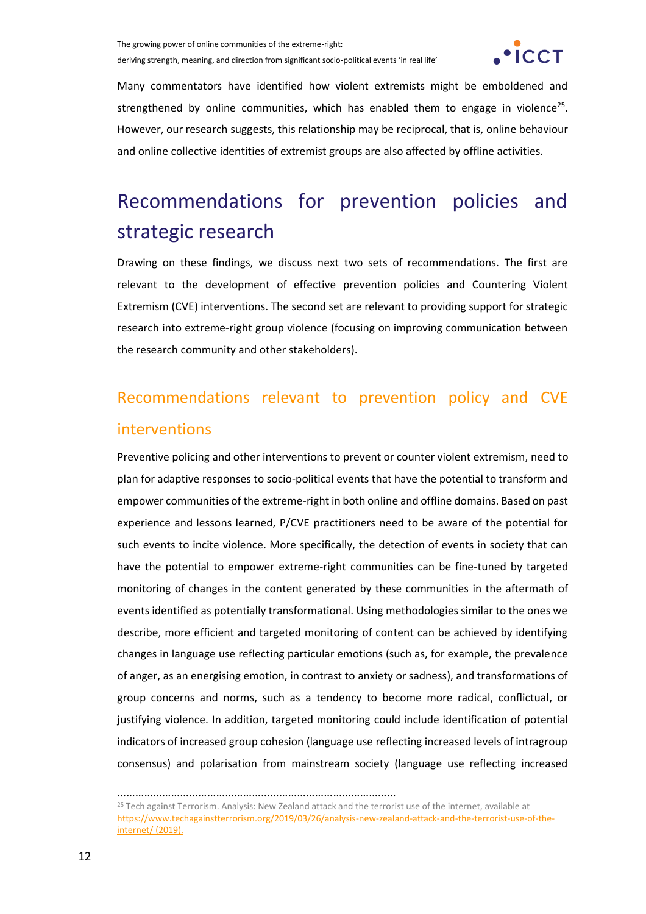

Many commentators have identified how violent extremists might be emboldened and strengthened by online communities, which has enabled them to engage in violence<sup>25</sup>. However, our research suggests, this relationship may be reciprocal, that is, online behaviour and online collective identities of extremist groups are also affected by offline activities.

# Recommendations for prevention policies and strategic research

Drawing on these findings, we discuss next two sets of recommendations. The first are relevant to the development of effective prevention policies and Countering Violent Extremism (CVE) interventions. The second set are relevant to providing support for strategic research into extreme-right group violence (focusing on improving communication between the research community and other stakeholders).

### Recommendations relevant to prevention policy and CVE interventions

Preventive policing and other interventions to prevent or counter violent extremism, need to plan for adaptive responses to socio-political events that have the potential to transform and empower communities of the extreme-right in both online and offline domains. Based on past experience and lessons learned, P/CVE practitioners need to be aware of the potential for such events to incite violence. More specifically, the detection of events in society that can have the potential to empower extreme-right communities can be fine-tuned by targeted monitoring of changes in the content generated by these communities in the aftermath of events identified as potentially transformational. Using methodologies similar to the ones we describe, more efficient and targeted monitoring of content can be achieved by identifying changes in language use reflecting particular emotions (such as, for example, the prevalence of anger, as an energising emotion, in contrast to anxiety or sadness), and transformations of group concerns and norms, such as a tendency to become more radical, conflictual, or justifying violence. In addition, targeted monitoring could include identification of potential indicators of increased group cohesion (language use reflecting increased levels of intragroup consensus) and polarisation from mainstream society (language use reflecting increased

…………………………………………………………………………………

<sup>&</sup>lt;sup>25</sup> Tech against Terrorism. Analysis: New Zealand attack and the terrorist use of the internet, available at [https://www.techagainstterrorism.org/2019/03/26/analysis-new-zealand-attack-and-the-terrorist-use-of-the](https://www.techagainstterrorism.org/2019/03/26/analysis-new-zealand-attack-and-the-terrorist-use-of-the-internet/)[internet/](https://www.techagainstterrorism.org/2019/03/26/analysis-new-zealand-attack-and-the-terrorist-use-of-the-internet/) (2019).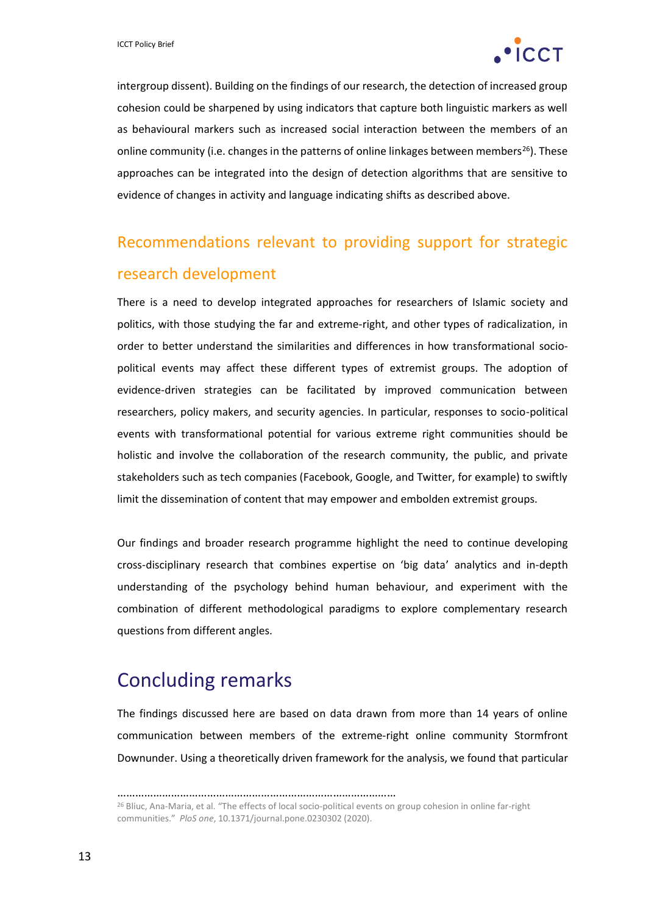

intergroup dissent). Building on the findings of our research, the detection of increased group cohesion could be sharpened by using indicators that capture both linguistic markers as well as behavioural markers such as increased social interaction between the members of an online community (i.e. changes in the patterns of online linkages between members<sup>26</sup>). These approaches can be integrated into the design of detection algorithms that are sensitive to evidence of changes in activity and language indicating shifts as described above.

### Recommendations relevant to providing support for strategic research development

There is a need to develop integrated approaches for researchers of Islamic society and politics, with those studying the far and extreme-right, and other types of radicalization, in order to better understand the similarities and differences in how transformational sociopolitical events may affect these different types of extremist groups. The adoption of evidence-driven strategies can be facilitated by improved communication between researchers, policy makers, and security agencies. In particular, responses to socio-political events with transformational potential for various extreme right communities should be holistic and involve the collaboration of the research community, the public, and private stakeholders such as tech companies (Facebook, Google, and Twitter, for example) to swiftly limit the dissemination of content that may empower and embolden extremist groups.

Our findings and broader research programme highlight the need to continue developing cross-disciplinary research that combines expertise on 'big data' analytics and in-depth understanding of the psychology behind human behaviour, and experiment with the combination of different methodological paradigms to explore complementary research questions from different angles.

#### Concluding remarks

The findings discussed here are based on data drawn from more than 14 years of online communication between members of the extreme-right online community Stormfront Downunder. Using a theoretically driven framework for the analysis, we found that particular

<sup>…………………………………………………………………………………</sup>

<sup>26</sup> Bliuc, Ana-Maria, et al. "The effects of local socio-political events on group cohesion in online far-right communities." *PloS one*, 10.1371/journal.pone.0230302 (2020).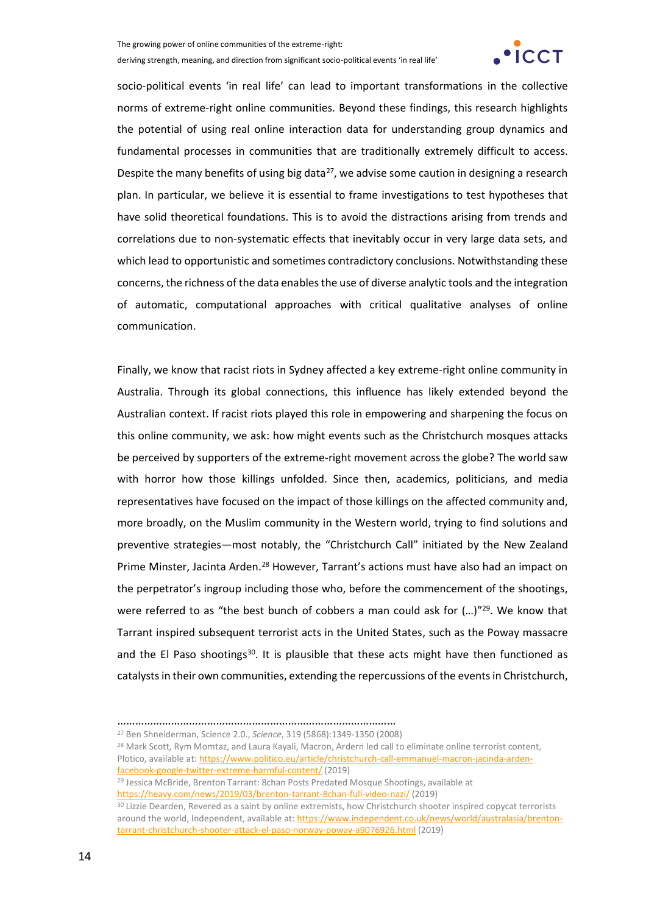

socio-political events 'in real life' can lead to important transformations in the collective norms of extreme-right online communities. Beyond these findings, this research highlights the potential of using real online interaction data for understanding group dynamics and fundamental processes in communities that are traditionally extremely difficult to access. Despite the many benefits of using big data<sup>27</sup>, we advise some caution in designing a research plan. In particular, we believe it is essential to frame investigations to test hypotheses that have solid theoretical foundations. This is to avoid the distractions arising from trends and correlations due to non-systematic effects that inevitably occur in very large data sets, and which lead to opportunistic and sometimes contradictory conclusions. Notwithstanding these concerns, the richness of the data enables the use of diverse analytic tools and the integration of automatic, computational approaches with critical qualitative analyses of online communication.

Finally, we know that racist riots in Sydney affected a key extreme-right online community in Australia. Through its global connections, this influence has likely extended beyond the Australian context. If racist riots played this role in empowering and sharpening the focus on this online community, we ask: how might events such as the Christchurch mosques attacks be perceived by supporters of the extreme-right movement across the globe? The world saw with horror how those killings unfolded. Since then, academics, politicians, and media representatives have focused on the impact of those killings on the affected community and, more broadly, on the Muslim community in the Western world, trying to find solutions and preventive strategies—most notably, the "Christchurch Call" initiated by the New Zealand Prime Minster, Jacinta Arden.<sup>28</sup> However, Tarrant's actions must have also had an impact on the perpetrator's ingroup including those who, before the commencement of the shootings, were referred to as "the best bunch of cobbers a man could ask for (...)"<sup>29</sup>. We know that Tarrant inspired subsequent terrorist acts in the United States, such as the Poway massacre and the El Paso shootings<sup>30</sup>. It is plausible that these acts might have then functioned as catalysts in their own communities, extending the repercussions of the events in Christchurch,

<sup>…………………………………………………………………………………</sup>

<sup>27</sup> Ben Shneiderman, Science 2.0., *Science*, 319 (5868):1349-1350 (2008) <sup>28</sup> Mark Scott, Rym Momtaz, and Laura Kayali, Macron, Ardern led call to eliminate online terrorist content, Plotico, available at[: https://www.politico.eu/article/christchurch-call-emmanuel-macron-jacinda-arden](https://www.politico.eu/article/christchurch-call-emmanuel-macron-jacinda-arden-facebook-google-twitter-extreme-harmful-content/)[facebook-google-twitter-extreme-harmful-content/](https://www.politico.eu/article/christchurch-call-emmanuel-macron-jacinda-arden-facebook-google-twitter-extreme-harmful-content/) (2019)

<sup>29</sup> Jessica McBride, Brenton Tarrant: 8chan Posts Predated Mosque Shootings, available at <https://heavy.com/news/2019/03/brenton-tarrant-8chan-full-video-nazi/> (2019)

<sup>&</sup>lt;sup>30</sup> Lizzie Dearden, Revered as a saint by online extremists, how Christchurch shooter inspired copycat terrorists around the world, Independent, available at[: https://www.independent.co.uk/news/world/australasia/brenton](https://www.independent.co.uk/news/world/australasia/brenton-tarrant-christchurch-shooter-attack-el-paso-norway-poway-a9076926.html)[tarrant-christchurch-shooter-attack-el-paso-norway-poway-a9076926.html](https://www.independent.co.uk/news/world/australasia/brenton-tarrant-christchurch-shooter-attack-el-paso-norway-poway-a9076926.html) (2019)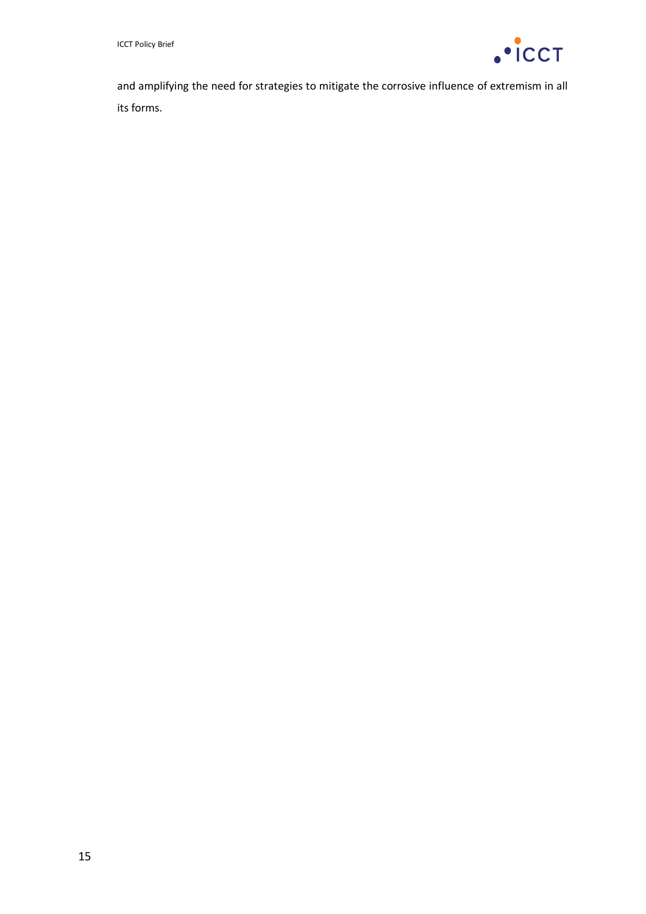

and amplifying the need for strategies to mitigate the corrosive influence of extremism in all its forms.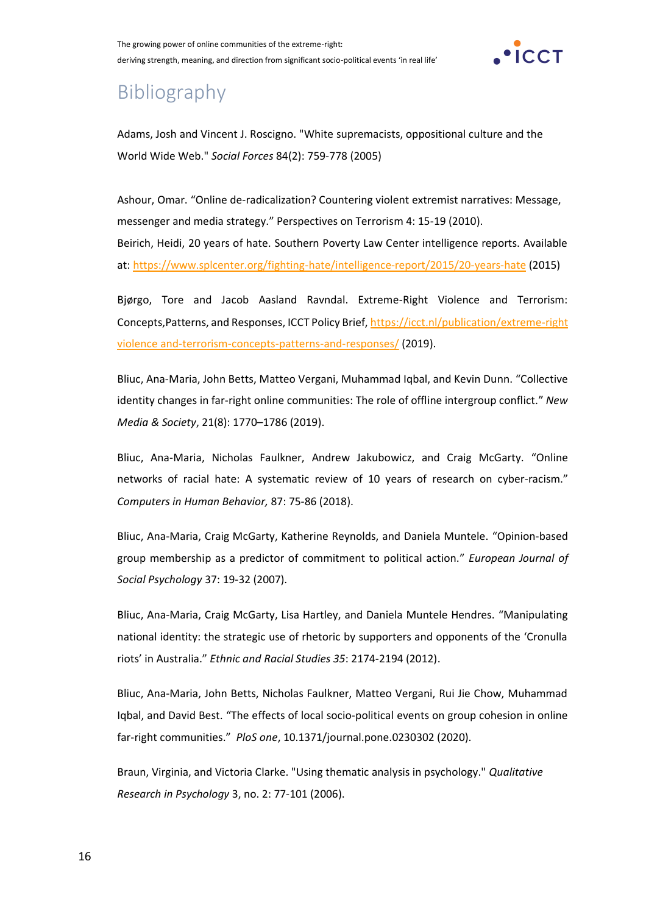

### Bibliography

Adams, Josh and Vincent J. Roscigno. "White supremacists, oppositional culture and the World Wide Web." *Social Forces* 84(2): 759-778 (2005)

Ashour, Omar. "Online de-radicalization? Countering violent extremist narratives: Message, messenger and media strategy." Perspectives on Terrorism 4: 15-19 (2010). Beirich, Heidi, 20 years of hate. Southern Poverty Law Center intelligence reports. Available at:<https://www.splcenter.org/fighting-hate/intelligence-report/2015/20-years-hate> (2015)

Bjørgo, Tore and Jacob Aasland Ravndal. Extreme-Right Violence and Terrorism: Concepts,Patterns, and Responses, ICCT Policy Brief,<https://icct.nl/publication/extreme-right> violence and-terrorism-concepts-patterns-and-responses/ (2019).

Bliuc, Ana-Maria, John Betts, Matteo Vergani, Muhammad Iqbal, and Kevin Dunn. "Collective identity changes in far-right online communities: The role of offline intergroup conflict." *New Media & Society*, 21(8): 1770–1786 (2019).

Bliuc, Ana-Maria, Nicholas Faulkner, Andrew Jakubowicz, and Craig McGarty. "Online networks of racial hate: A systematic review of 10 years of research on cyber-racism." *Computers in Human Behavior,* 87: 75-86 (2018).

Bliuc, Ana‐Maria, Craig McGarty, Katherine Reynolds, and Daniela Muntele. "Opinion‐based group membership as a predictor of commitment to political action." *European Journal of Social Psychology* 37: 19-32 (2007).

Bliuc, Ana-Maria, Craig McGarty, Lisa Hartley, and Daniela Muntele Hendres. "Manipulating national identity: the strategic use of rhetoric by supporters and opponents of the 'Cronulla riots' in Australia." *Ethnic and Racial Studies 35*: 2174-2194 (2012).

Bliuc, Ana-Maria, John Betts, Nicholas Faulkner, Matteo Vergani, Rui Jie Chow, Muhammad Iqbal, and David Best. "The effects of local socio-political events on group cohesion in online far-right communities." *PloS one*, 10.1371/journal.pone.0230302 (2020).

Braun, Virginia, and Victoria Clarke. "Using thematic analysis in psychology." *Qualitative Research in Psychology* 3, no. 2: 77-101 (2006).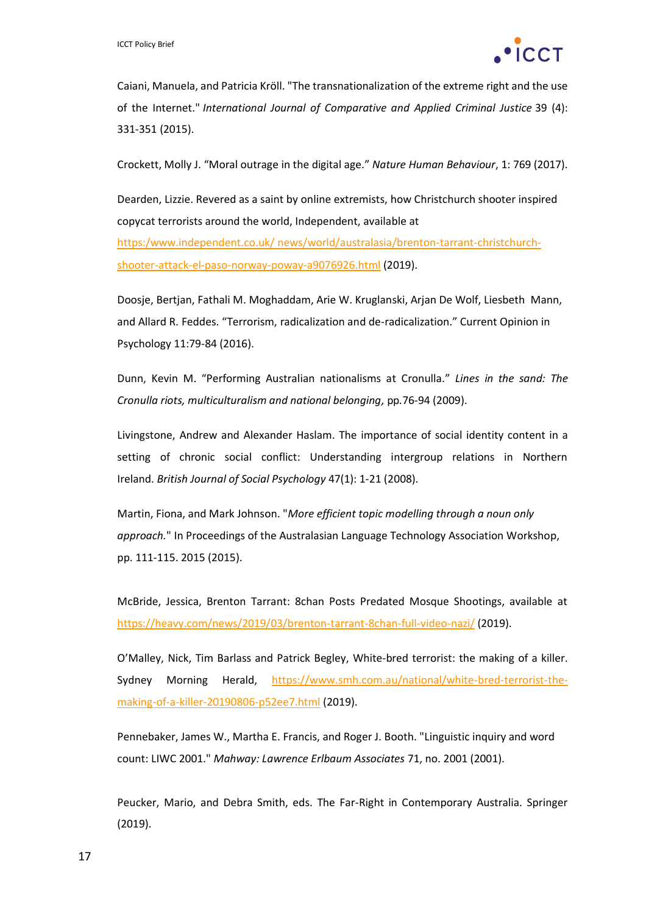

Caiani, Manuela, and Patricia Kröll. "The transnationalization of the extreme right and the use of the Internet." *International Journal of Comparative and Applied Criminal Justice* 39 (4): 331-351 (2015).

Crockett, Molly J. "Moral outrage in the digital age." *Nature Human Behaviour*, 1: 769 (2017).

Dearden, Lizzie. Revered as a saint by online extremists, how Christchurch shooter inspired copycat terrorists around the world, Independent, available at

https:/www.independent.co.uk/ news/world/australasia/brenton-tarrant-christchurchshooter-attack-el-paso-norway-poway-a9076926.html (2019).

Doosje, Bertjan, Fathali M. Moghaddam, Arie W. Kruglanski, Arjan De Wolf, Liesbeth Mann, and Allard R. Feddes. "Terrorism, radicalization and de-radicalization." Current Opinion in Psychology 11:79-84 (2016).

Dunn, Kevin M. "Performing Australian nationalisms at Cronulla." *Lines in the sand: The Cronulla riots, multiculturalism and national belonging,* pp*.*76-94 (2009).

Livingstone, Andrew and Alexander Haslam. The importance of social identity content in a setting of chronic social conflict: Understanding intergroup relations in Northern Ireland. *British Journal of Social Psychology* 47(1): 1-21 (2008).

Martin, Fiona, and Mark Johnson. "*More efficient topic modelling through a noun only approach.*" In Proceedings of the Australasian Language Technology Association Workshop, pp. 111-115. 2015 (2015).

McBride, Jessica, Brenton Tarrant: 8chan Posts Predated Mosque Shootings, available at <https://heavy.com/news/2019/03/brenton-tarrant-8chan-full-video-nazi/> (2019).

O'Malley, Nick, Tim Barlass and Patrick Begley, White-bred terrorist: the making of a killer. Sydney Morning Herald, [https://www.smh.com.au/national/white-bred-terrorist-the](https://www.smh.com.au/national/white-bred-terrorist-the-making-of-a-killer-20190806-p52ee7.html)[making-of-a-killer-20190806-p52ee7.html](https://www.smh.com.au/national/white-bred-terrorist-the-making-of-a-killer-20190806-p52ee7.html) (2019).

Pennebaker, James W., Martha E. Francis, and Roger J. Booth. "Linguistic inquiry and word count: LIWC 2001." *Mahway: Lawrence Erlbaum Associates* 71, no. 2001 (2001).

Peucker, Mario, and Debra Smith, eds. The Far-Right in Contemporary Australia. Springer (2019).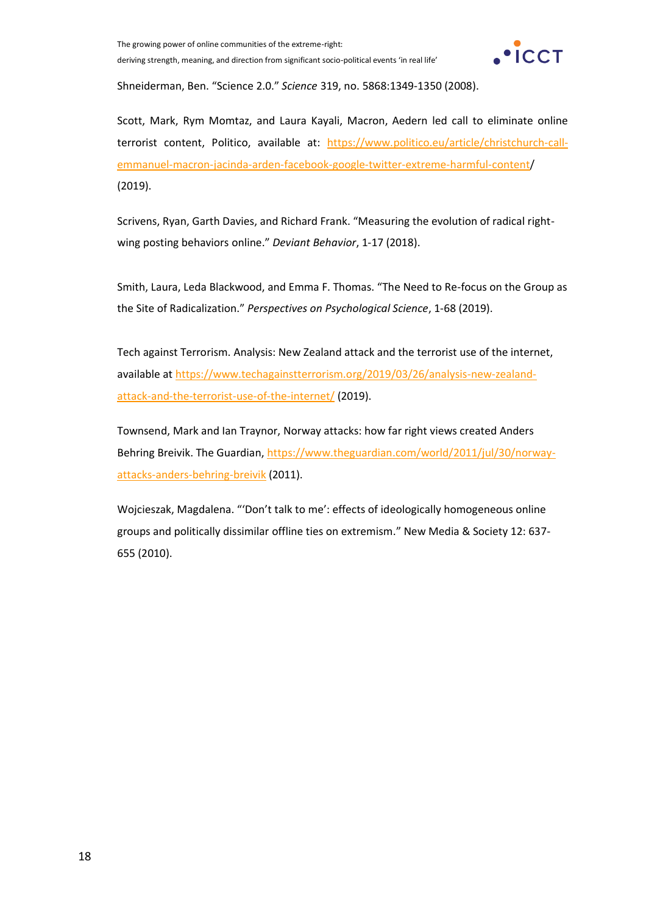

Shneiderman, Ben. "Science 2.0." *Science* 319, no. 5868:1349-1350 (2008).

Scott, Mark, Rym Momtaz, and Laura Kayali, Macron, Aedern led call to eliminate online terrorist content, Politico, available at: [https://www.politico.eu/article/christchurch-call](https://www.politico.eu/article/christchurch-call-emmanuel-macron-jacinda-arden-facebook-google-twitter-extreme-harmful-content/)[emmanuel-macron-jacinda-arden-facebook-google-twitter-extreme-harmful-content/](https://www.politico.eu/article/christchurch-call-emmanuel-macron-jacinda-arden-facebook-google-twitter-extreme-harmful-content/) (2019).

Scrivens, Ryan, Garth Davies, and Richard Frank. "Measuring the evolution of radical rightwing posting behaviors online." *Deviant Behavior*, 1-17 (2018).

Smith, Laura, Leda Blackwood, and Emma F. Thomas. "The Need to Re-focus on the Group as the Site of Radicalization." *Perspectives on Psychological Science*, 1-68 (2019).

Tech against Terrorism. Analysis: New Zealand attack and the terrorist use of the internet, available at https://www.techagainstterrorism.org/2019/03/26/analysis-new-zealandattack-and-the-terrorist-use-of-the-internet/ (2019).

Townsend, Mark and Ian Traynor, Norway attacks: how far right views created Anders Behring Breivik. The Guardian, https://www.theguardian.com/world/2011/jul/30/norwayattacks-anders-behring-breivik (2011).

Wojcieszak, Magdalena. "'Don't talk to me': effects of ideologically homogeneous online groups and politically dissimilar offline ties on extremism." New Media & Society 12: 637- 655 (2010).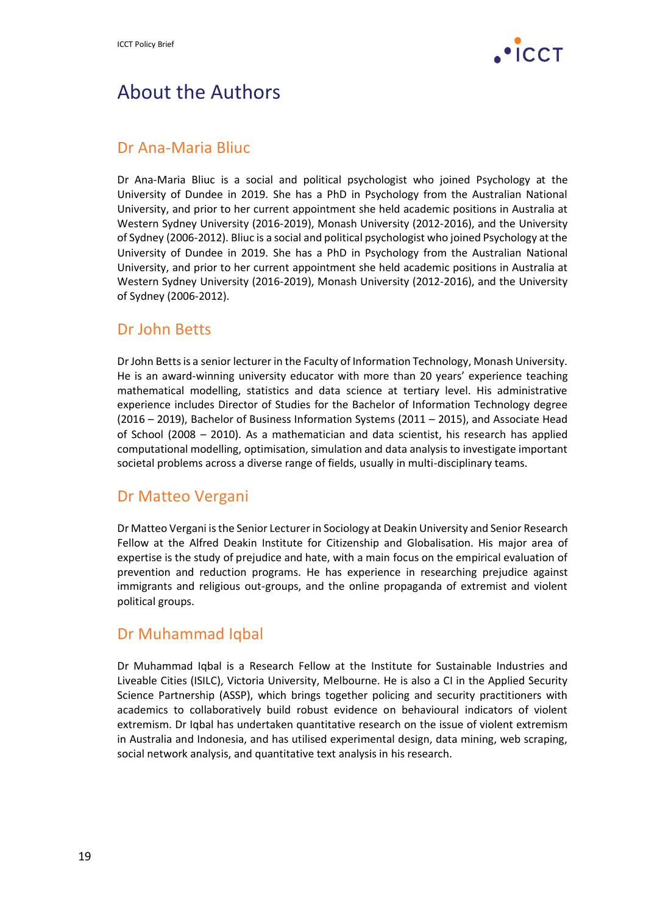

### About the Authors

#### Dr Ana-Maria Bliuc

Dr Ana-Maria Bliuc is a social and political psychologist who joined Psychology at the University of Dundee in 2019. She has a PhD in Psychology from the Australian National University, and prior to her current appointment she held academic positions in Australia at Western Sydney University (2016-2019), Monash University (2012-2016), and the University of Sydney (2006-2012). Bliuc is a social and political psychologist who joined Psychology at the University of Dundee in 2019. She has a PhD in Psychology from the Australian National University, and prior to her current appointment she held academic positions in Australia at Western Sydney University (2016-2019), Monash University (2012-2016), and the University of Sydney (2006-2012).

#### Dr John Betts

Dr John Betts is a senior lecturer in the Faculty of Information Technology, Monash University. He is an award-winning university educator with more than 20 years' experience teaching mathematical modelling, statistics and data science at tertiary level. His administrative experience includes Director of Studies for the Bachelor of Information Technology degree (2016 – 2019), Bachelor of Business Information Systems (2011 – 2015), and Associate Head of School (2008 – 2010). As a mathematician and data scientist, his research has applied computational modelling, optimisation, simulation and data analysis to investigate important societal problems across a diverse range of fields, usually in multi-disciplinary teams.

#### Dr Matteo Vergani

Dr Matteo Vergani is the Senior Lecturer in Sociology at Deakin University and Senior Research Fellow at the Alfred Deakin Institute for Citizenship and Globalisation. His major area of expertise is the study of prejudice and hate, with a main focus on the empirical evaluation of prevention and reduction programs. He has experience in researching prejudice against immigrants and religious out-groups, and the online propaganda of extremist and violent political groups.

#### Dr Muhammad Iqbal

Dr Muhammad Iqbal is a Research Fellow at the Institute for Sustainable Industries and Liveable Cities (ISILC), Victoria University, Melbourne. He is also a CI in the Applied Security Science Partnership (ASSP), which brings together policing and security practitioners with academics to collaboratively build robust evidence on behavioural indicators of violent extremism. Dr Iqbal has undertaken quantitative research on the issue of violent extremism in Australia and Indonesia, and has utilised experimental design, data mining, web scraping, social network analysis, and quantitative text analysis in his research.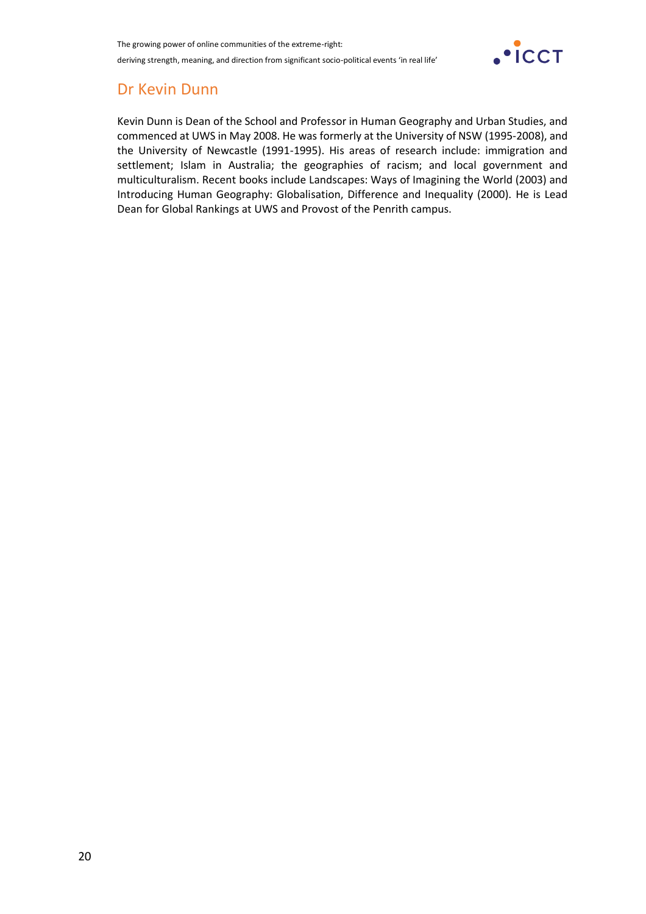

#### Dr Kevin Dunn

Kevin Dunn is Dean of the School and Professor in Human Geography and Urban Studies, and commenced at UWS in May 2008. He was formerly at the University of NSW (1995-2008), and the University of Newcastle (1991-1995). His areas of research include: immigration and settlement; Islam in Australia; the geographies of racism; and local government and multiculturalism. Recent books include Landscapes: Ways of Imagining the World (2003) and Introducing Human Geography: Globalisation, Difference and Inequality (2000). He is Lead Dean for Global Rankings at UWS and Provost of the Penrith campus.